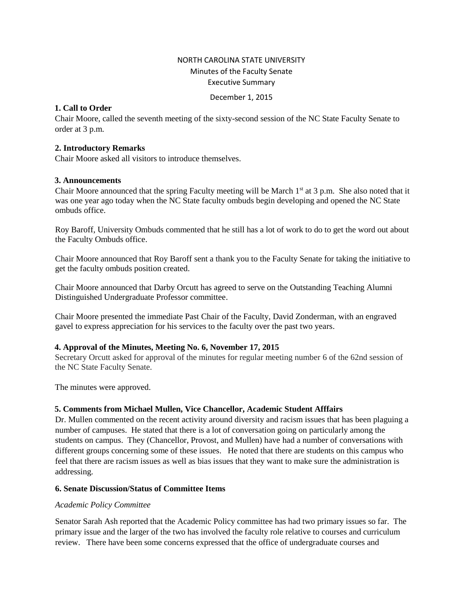# NORTH CAROLINA STATE UNIVERSITY Minutes of the Faculty Senate Executive Summary

#### December 1, 2015

## **1. Call to Order**

Chair Moore, called the seventh meeting of the sixty-second session of the NC State Faculty Senate to order at 3 p.m.

#### **2. Introductory Remarks**

Chair Moore asked all visitors to introduce themselves.

#### **3. Announcements**

Chair Moore announced that the spring Faculty meeting will be March  $1<sup>st</sup>$  at 3 p.m. She also noted that it was one year ago today when the NC State faculty ombuds begin developing and opened the NC State ombuds office.

Roy Baroff, University Ombuds commented that he still has a lot of work to do to get the word out about the Faculty Ombuds office.

Chair Moore announced that Roy Baroff sent a thank you to the Faculty Senate for taking the initiative to get the faculty ombuds position created.

Chair Moore announced that Darby Orcutt has agreed to serve on the Outstanding Teaching Alumni Distinguished Undergraduate Professor committee.

Chair Moore presented the immediate Past Chair of the Faculty, David Zonderman, with an engraved gavel to express appreciation for his services to the faculty over the past two years.

#### **4. Approval of the Minutes, Meeting No. 6, November 17, 2015**

Secretary Orcutt asked for approval of the minutes for regular meeting number 6 of the 62nd session of the NC State Faculty Senate.

The minutes were approved.

#### **5. Comments from Michael Mullen, Vice Chancellor, Academic Student Afffairs**

Dr. Mullen commented on the recent activity around diversity and racism issues that has been plaguing a number of campuses. He stated that there is a lot of conversation going on particularly among the students on campus. They (Chancellor, Provost, and Mullen) have had a number of conversations with different groups concerning some of these issues. He noted that there are students on this campus who feel that there are racism issues as well as bias issues that they want to make sure the administration is addressing.

# **6. Senate Discussion/Status of Committee Items**

#### *Academic Policy Committee*

Senator Sarah Ash reported that the Academic Policy committee has had two primary issues so far. The primary issue and the larger of the two has involved the faculty role relative to courses and curriculum review. There have been some concerns expressed that the office of undergraduate courses and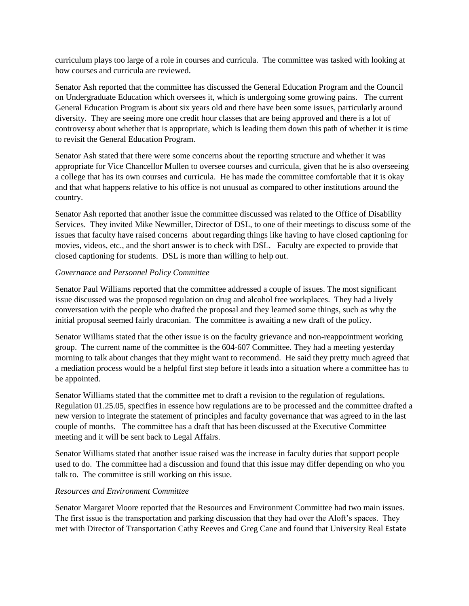curriculum plays too large of a role in courses and curricula. The committee was tasked with looking at how courses and curricula are reviewed.

Senator Ash reported that the committee has discussed the General Education Program and the Council on Undergraduate Education which oversees it, which is undergoing some growing pains. The current General Education Program is about six years old and there have been some issues, particularly around diversity. They are seeing more one credit hour classes that are being approved and there is a lot of controversy about whether that is appropriate, which is leading them down this path of whether it is time to revisit the General Education Program.

Senator Ash stated that there were some concerns about the reporting structure and whether it was appropriate for Vice Chancellor Mullen to oversee courses and curricula, given that he is also overseeing a college that has its own courses and curricula. He has made the committee comfortable that it is okay and that what happens relative to his office is not unusual as compared to other institutions around the country.

Senator Ash reported that another issue the committee discussed was related to the Office of Disability Services. They invited Mike Newmiller, Director of DSL, to one of their meetings to discuss some of the issues that faculty have raised concerns about regarding things like having to have closed captioning for movies, videos, etc., and the short answer is to check with DSL. Faculty are expected to provide that closed captioning for students. DSL is more than willing to help out.

## *Governance and Personnel Policy Committee*

Senator Paul Williams reported that the committee addressed a couple of issues. The most significant issue discussed was the proposed regulation on drug and alcohol free workplaces. They had a lively conversation with the people who drafted the proposal and they learned some things, such as why the initial proposal seemed fairly draconian. The committee is awaiting a new draft of the policy.

Senator Williams stated that the other issue is on the faculty grievance and non-reappointment working group. The current name of the committee is the 604-607 Committee. They had a meeting yesterday morning to talk about changes that they might want to recommend. He said they pretty much agreed that a mediation process would be a helpful first step before it leads into a situation where a committee has to be appointed.

Senator Williams stated that the committee met to draft a revision to the regulation of regulations. Regulation 01.25.05, specifies in essence how regulations are to be processed and the committee drafted a new version to integrate the statement of principles and faculty governance that was agreed to in the last couple of months. The committee has a draft that has been discussed at the Executive Committee meeting and it will be sent back to Legal Affairs.

Senator Williams stated that another issue raised was the increase in faculty duties that support people used to do. The committee had a discussion and found that this issue may differ depending on who you talk to. The committee is still working on this issue.

#### *Resources and Environment Committee*

Senator Margaret Moore reported that the Resources and Environment Committee had two main issues. The first issue is the transportation and parking discussion that they had over the Aloft's spaces. They met with Director of Transportation Cathy Reeves and Greg Cane and found that University Real Estate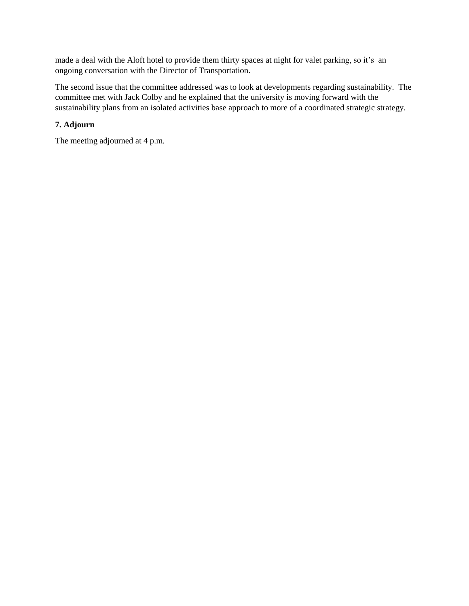made a deal with the Aloft hotel to provide them thirty spaces at night for valet parking, so it's an ongoing conversation with the Director of Transportation.

The second issue that the committee addressed was to look at developments regarding sustainability. The committee met with Jack Colby and he explained that the university is moving forward with the sustainability plans from an isolated activities base approach to more of a coordinated strategic strategy.

# **7. Adjourn**

The meeting adjourned at 4 p.m.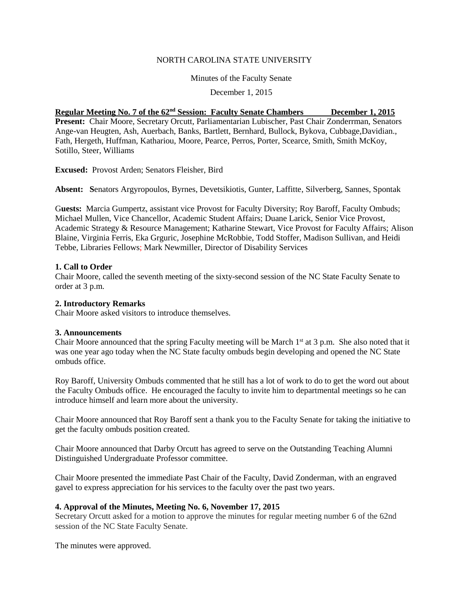#### NORTH CAROLINA STATE UNIVERSITY

Minutes of the Faculty Senate

December 1, 2015

#### **Regular Meeting No. 7 of the 62nd Session: Faculty Senate Chambers December 1, 2015**

**Present:** Chair Moore, Secretary Orcutt, Parliamentarian Lubischer, Past Chair Zonderrman, Senators Ange-van Heugten, Ash, Auerbach, Banks, Bartlett, Bernhard, Bullock, Bykova, Cubbage,Davidian., Fath, Hergeth, Huffman, Kathariou, Moore, Pearce, Perros, Porter, Scearce, Smith, Smith McKoy, Sotillo, Steer, Williams

**Excused:** Provost Arden; Senators Fleisher, Bird

**Absent: S**enators Argyropoulos, Byrnes, Devetsikiotis, Gunter, Laffitte, Silverberg, Sannes, Spontak

G**uests:** Marcia Gumpertz, assistant vice Provost for Faculty Diversity; Roy Baroff, Faculty Ombuds; Michael Mullen, Vice Chancellor, Academic Student Affairs; Duane Larick, Senior Vice Provost, Academic Strategy & Resource Management; Katharine Stewart, Vice Provost for Faculty Affairs; Alison Blaine, Virginia Ferris, Eka Grguric, Josephine McRobbie, Todd Stoffer, Madison Sullivan, and Heidi Tebbe, Libraries Fellows; Mark Newmiller, Director of Disability Services

#### **1. Call to Order**

Chair Moore, called the seventh meeting of the sixty-second session of the NC State Faculty Senate to order at 3 p.m.

#### **2. Introductory Remarks**

Chair Moore asked visitors to introduce themselves.

#### **3. Announcements**

Chair Moore announced that the spring Faculty meeting will be March  $1<sup>st</sup>$  at 3 p.m. She also noted that it was one year ago today when the NC State faculty ombuds begin developing and opened the NC State ombuds office.

Roy Baroff, University Ombuds commented that he still has a lot of work to do to get the word out about the Faculty Ombuds office. He encouraged the faculty to invite him to departmental meetings so he can introduce himself and learn more about the university.

Chair Moore announced that Roy Baroff sent a thank you to the Faculty Senate for taking the initiative to get the faculty ombuds position created.

Chair Moore announced that Darby Orcutt has agreed to serve on the Outstanding Teaching Alumni Distinguished Undergraduate Professor committee.

Chair Moore presented the immediate Past Chair of the Faculty, David Zonderman, with an engraved gavel to express appreciation for his services to the faculty over the past two years.

#### **4. Approval of the Minutes, Meeting No. 6, November 17, 2015**

Secretary Orcutt asked for a motion to approve the minutes for regular meeting number 6 of the 62nd session of the NC State Faculty Senate.

The minutes were approved.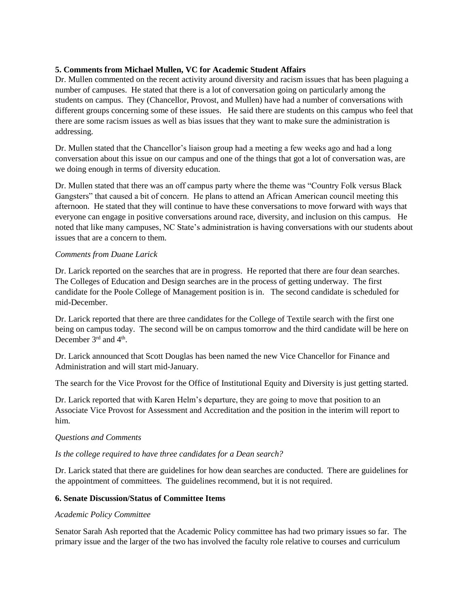## **5. Comments from Michael Mullen, VC for Academic Student Affairs**

Dr. Mullen commented on the recent activity around diversity and racism issues that has been plaguing a number of campuses. He stated that there is a lot of conversation going on particularly among the students on campus. They (Chancellor, Provost, and Mullen) have had a number of conversations with different groups concerning some of these issues. He said there are students on this campus who feel that there are some racism issues as well as bias issues that they want to make sure the administration is addressing.

Dr. Mullen stated that the Chancellor's liaison group had a meeting a few weeks ago and had a long conversation about this issue on our campus and one of the things that got a lot of conversation was, are we doing enough in terms of diversity education.

Dr. Mullen stated that there was an off campus party where the theme was "Country Folk versus Black Gangsters" that caused a bit of concern. He plans to attend an African American council meeting this afternoon. He stated that they will continue to have these conversations to move forward with ways that everyone can engage in positive conversations around race, diversity, and inclusion on this campus. He noted that like many campuses, NC State's administration is having conversations with our students about issues that are a concern to them.

## *Comments from Duane Larick*

Dr. Larick reported on the searches that are in progress. He reported that there are four dean searches. The Colleges of Education and Design searches are in the process of getting underway. The first candidate for the Poole College of Management position is in. The second candidate is scheduled for mid-December.

Dr. Larick reported that there are three candidates for the College of Textile search with the first one being on campus today. The second will be on campus tomorrow and the third candidate will be here on December 3<sup>rd</sup> and 4<sup>th</sup>.

Dr. Larick announced that Scott Douglas has been named the new Vice Chancellor for Finance and Administration and will start mid-January.

The search for the Vice Provost for the Office of Institutional Equity and Diversity is just getting started.

Dr. Larick reported that with Karen Helm's departure, they are going to move that position to an Associate Vice Provost for Assessment and Accreditation and the position in the interim will report to him.

# *Questions and Comments*

#### *Is the college required to have three candidates for a Dean search?*

Dr. Larick stated that there are guidelines for how dean searches are conducted. There are guidelines for the appointment of committees. The guidelines recommend, but it is not required.

#### **6. Senate Discussion/Status of Committee Items**

#### *Academic Policy Committee*

Senator Sarah Ash reported that the Academic Policy committee has had two primary issues so far. The primary issue and the larger of the two has involved the faculty role relative to courses and curriculum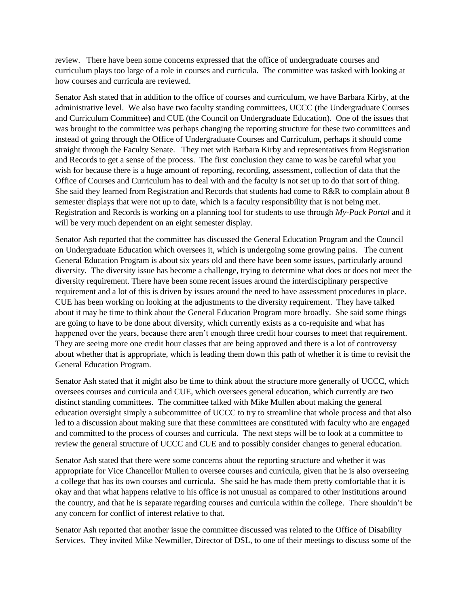review. There have been some concerns expressed that the office of undergraduate courses and curriculum plays too large of a role in courses and curricula. The committee was tasked with looking at how courses and curricula are reviewed.

Senator Ash stated that in addition to the office of courses and curriculum, we have Barbara Kirby, at the administrative level. We also have two faculty standing committees, UCCC (the Undergraduate Courses and Curriculum Committee) and CUE (the Council on Undergraduate Education). One of the issues that was brought to the committee was perhaps changing the reporting structure for these two committees and instead of going through the Office of Undergraduate Courses and Curriculum, perhaps it should come straight through the Faculty Senate. They met with Barbara Kirby and representatives from Registration and Records to get a sense of the process. The first conclusion they came to was be careful what you wish for because there is a huge amount of reporting, recording, assessment, collection of data that the Office of Courses and Curriculum has to deal with and the faculty is not set up to do that sort of thing. She said they learned from Registration and Records that students had come to R&R to complain about 8 semester displays that were not up to date, which is a faculty responsibility that is not being met. Registration and Records is working on a planning tool for students to use through *My-Pack Portal* and it will be very much dependent on an eight semester display.

Senator Ash reported that the committee has discussed the General Education Program and the Council on Undergraduate Education which oversees it, which is undergoing some growing pains. The current General Education Program is about six years old and there have been some issues, particularly around diversity. The diversity issue has become a challenge, trying to determine what does or does not meet the diversity requirement. There have been some recent issues around the interdisciplinary perspective requirement and a lot of this is driven by issues around the need to have assessment procedures in place. CUE has been working on looking at the adjustments to the diversity requirement. They have talked about it may be time to think about the General Education Program more broadly. She said some things are going to have to be done about diversity, which currently exists as a co-requisite and what has happened over the years, because there aren't enough three credit hour courses to meet that requirement. They are seeing more one credit hour classes that are being approved and there is a lot of controversy about whether that is appropriate, which is leading them down this path of whether it is time to revisit the General Education Program.

Senator Ash stated that it might also be time to think about the structure more generally of UCCC, which oversees courses and curricula and CUE, which oversees general education, which currently are two distinct standing committees. The committee talked with Mike Mullen about making the general education oversight simply a subcommittee of UCCC to try to streamline that whole process and that also led to a discussion about making sure that these committees are constituted with faculty who are engaged and committed to the process of courses and curricula. The next steps will be to look at a committee to review the general structure of UCCC and CUE and to possibly consider changes to general education.

Senator Ash stated that there were some concerns about the reporting structure and whether it was appropriate for Vice Chancellor Mullen to oversee courses and curricula, given that he is also overseeing a college that has its own courses and curricula. She said he has made them pretty comfortable that it is okay and that what happens relative to his office is not unusual as compared to other institutions around the country, and that he is separate regarding courses and curricula within the college. There shouldn't be any concern for conflict of interest relative to that.

Senator Ash reported that another issue the committee discussed was related to the Office of Disability Services. They invited Mike Newmiller, Director of DSL, to one of their meetings to discuss some of the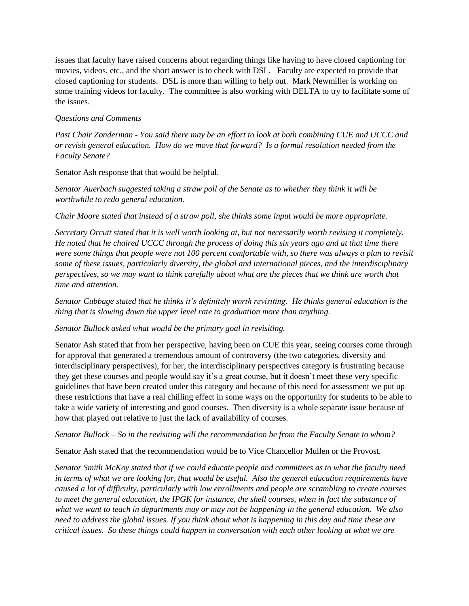issues that faculty have raised concerns about regarding things like having to have closed captioning for movies, videos, etc., and the short answer is to check with DSL. Faculty are expected to provide that closed captioning for students. DSL is more than willing to help out. Mark Newmiller is working on some training videos for faculty. The committee is also working with DELTA to try to facilitate some of the issues.

## *Questions and Comments*

*Past Chair Zonderman - You said there may be an effort to look at both combining CUE and UCCC and or revisit general education. How do we move that forward? Is a formal resolution needed from the Faculty Senate?*

Senator Ash response that that would be helpful.

*Senator Auerbach suggested taking a straw poll of the Senate as to whether they think it will be worthwhile to redo general education.* 

*Chair Moore stated that instead of a straw poll, she thinks some input would be more appropriate.* 

*Secretary Orcutt stated that it is well worth looking at, but not necessarily worth revising it completely. He noted that he chaired UCCC through the process of doing this six years ago and at that time there were some things that people were not 100 percent comfortable with, so there was always a plan to revisit some of these issues, particularly diversity, the global and international pieces, and the interdisciplinary perspectives, so we may want to think carefully about what are the pieces that we think are worth that time and attention.* 

*Senator Cubbage stated that he thinks it's definitely worth revisiting. He thinks general education is the thing that is slowing down the upper level rate to graduation more than anything.* 

#### *Senator Bullock asked what would be the primary goal in revisiting.*

Senator Ash stated that from her perspective, having been on CUE this year, seeing courses come through for approval that generated a tremendous amount of controversy (the two categories, diversity and interdisciplinary perspectives), for her, the interdisciplinary perspectives category is frustrating because they get these courses and people would say it's a great course, but it doesn't meet these very specific guidelines that have been created under this category and because of this need for assessment we put up these restrictions that have a real chilling effect in some ways on the opportunity for students to be able to take a wide variety of interesting and good courses. Then diversity is a whole separate issue because of how that played out relative to just the lack of availability of courses.

*Senator Bullock – So in the revisiting will the recommendation be from the Faculty Senate to whom?*

Senator Ash stated that the recommendation would be to Vice Chancellor Mullen or the Provost.

*Senator Smith McKoy stated that if we could educate people and committees as to what the faculty need in terms of what we are looking for, that would be useful. Also the general education requirements have caused a lot of difficulty, particularly with low enrollments and people are scrambling to create courses to meet the general education, the IPGK for instance, the shell courses, when in fact the substance of what we want to teach in departments may or may not be happening in the general education. We also need to address the global issues. If you think about what is happening in this day and time these are critical issues. So these things could happen in conversation with each other looking at what we are*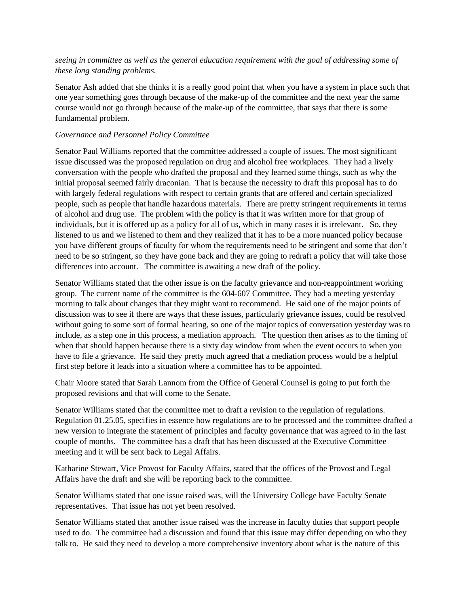# *seeing in committee as well as the general education requirement with the goal of addressing some of these long standing problems.*

Senator Ash added that she thinks it is a really good point that when you have a system in place such that one year something goes through because of the make-up of the committee and the next year the same course would not go through because of the make-up of the committee, that says that there is some fundamental problem.

## *Governance and Personnel Policy Committee*

Senator Paul Williams reported that the committee addressed a couple of issues. The most significant issue discussed was the proposed regulation on drug and alcohol free workplaces. They had a lively conversation with the people who drafted the proposal and they learned some things, such as why the initial proposal seemed fairly draconian. That is because the necessity to draft this proposal has to do with largely federal regulations with respect to certain grants that are offered and certain specialized people, such as people that handle hazardous materials. There are pretty stringent requirements in terms of alcohol and drug use. The problem with the policy is that it was written more for that group of individuals, but it is offered up as a policy for all of us, which in many cases it is irrelevant. So, they listened to us and we listened to them and they realized that it has to be a more nuanced policy because you have different groups of faculty for whom the requirements need to be stringent and some that don't need to be so stringent, so they have gone back and they are going to redraft a policy that will take those differences into account. The committee is awaiting a new draft of the policy.

Senator Williams stated that the other issue is on the faculty grievance and non-reappointment working group. The current name of the committee is the 604-607 Committee. They had a meeting yesterday morning to talk about changes that they might want to recommend. He said one of the major points of discussion was to see if there are ways that these issues, particularly grievance issues, could be resolved without going to some sort of formal hearing, so one of the major topics of conversation yesterday was to include, as a step one in this process, a mediation approach. The question then arises as to the timing of when that should happen because there is a sixty day window from when the event occurs to when you have to file a grievance. He said they pretty much agreed that a mediation process would be a helpful first step before it leads into a situation where a committee has to be appointed.

Chair Moore stated that Sarah Lannom from the Office of General Counsel is going to put forth the proposed revisions and that will come to the Senate.

Senator Williams stated that the committee met to draft a revision to the regulation of regulations. Regulation 01.25.05, specifies in essence how regulations are to be processed and the committee drafted a new version to integrate the statement of principles and faculty governance that was agreed to in the last couple of months. The committee has a draft that has been discussed at the Executive Committee meeting and it will be sent back to Legal Affairs.

Katharine Stewart, Vice Provost for Faculty Affairs, stated that the offices of the Provost and Legal Affairs have the draft and she will be reporting back to the committee.

Senator Williams stated that one issue raised was, will the University College have Faculty Senate representatives. That issue has not yet been resolved.

Senator Williams stated that another issue raised was the increase in faculty duties that support people used to do. The committee had a discussion and found that this issue may differ depending on who they talk to. He said they need to develop a more comprehensive inventory about what is the nature of this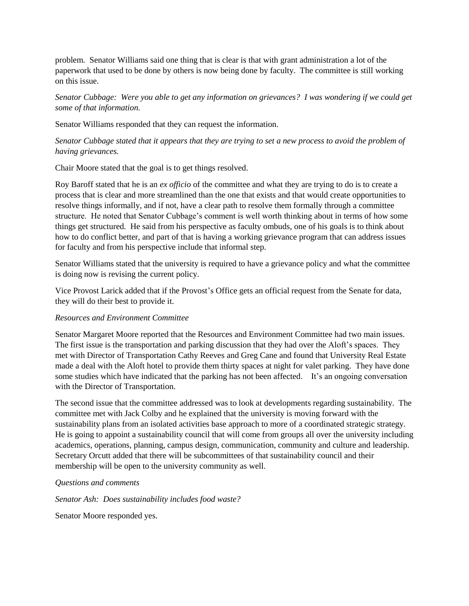problem. Senator Williams said one thing that is clear is that with grant administration a lot of the paperwork that used to be done by others is now being done by faculty. The committee is still working on this issue.

*Senator Cubbage: Were you able to get any information on grievances? I was wondering if we could get some of that information.* 

Senator Williams responded that they can request the information.

*Senator Cubbage stated that it appears that they are trying to set a new process to avoid the problem of having grievances.* 

Chair Moore stated that the goal is to get things resolved.

Roy Baroff stated that he is an *ex officio* of the committee and what they are trying to do is to create a process that is clear and more streamlined than the one that exists and that would create opportunities to resolve things informally, and if not, have a clear path to resolve them formally through a committee structure. He noted that Senator Cubbage's comment is well worth thinking about in terms of how some things get structured. He said from his perspective as faculty ombuds, one of his goals is to think about how to do conflict better, and part of that is having a working grievance program that can address issues for faculty and from his perspective include that informal step.

Senator Williams stated that the university is required to have a grievance policy and what the committee is doing now is revising the current policy.

Vice Provost Larick added that if the Provost's Office gets an official request from the Senate for data, they will do their best to provide it.

#### *Resources and Environment Committee*

Senator Margaret Moore reported that the Resources and Environment Committee had two main issues. The first issue is the transportation and parking discussion that they had over the Aloft's spaces. They met with Director of Transportation Cathy Reeves and Greg Cane and found that University Real Estate made a deal with the Aloft hotel to provide them thirty spaces at night for valet parking. They have done some studies which have indicated that the parking has not been affected. It's an ongoing conversation with the Director of Transportation.

The second issue that the committee addressed was to look at developments regarding sustainability. The committee met with Jack Colby and he explained that the university is moving forward with the sustainability plans from an isolated activities base approach to more of a coordinated strategic strategy. He is going to appoint a sustainability council that will come from groups all over the university including academics, operations, planning, campus design, communication, community and culture and leadership. Secretary Orcutt added that there will be subcommittees of that sustainability council and their membership will be open to the university community as well.

#### *Questions and comments*

*Senator Ash: Does sustainability includes food waste?*

Senator Moore responded yes.